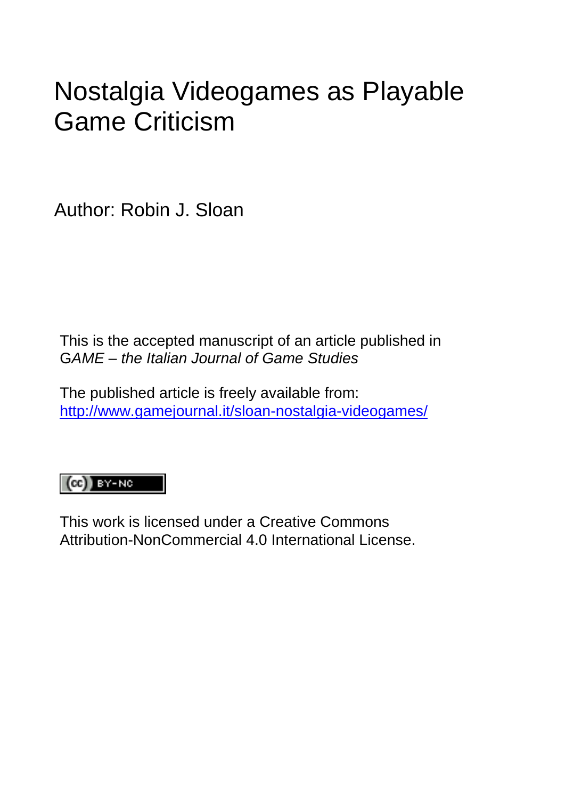# Nostalgia Videogames as Playable Game Criticism

Author: Robin J. Sloan

This is the accepted manuscript of an article published in G*AME* – *the Italian Journal of Game Studies* 

The published article is freely available from: <http://www.gamejournal.it/sloan-nostalgia-videogames/>

# $\left(\text{cc}\right)$  BY-NC

This work is licensed under a Creative Commons Attribution-NonCommercial 4.0 International License.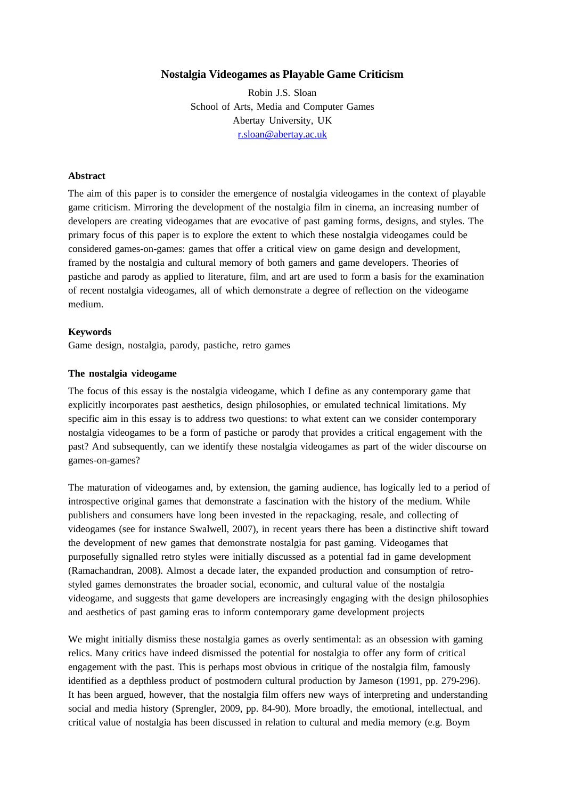## **Nostalgia Videogames as Playable Game Criticism**

Robin J.S. Sloan School of Arts, Media and Computer Games Abertay University, UK [r.sloan@abertay.ac.uk](mailto:r.sloan@abertay.ac.uk)

#### **Abstract**

The aim of this paper is to consider the emergence of nostalgia videogames in the context of playable game criticism. Mirroring the development of the nostalgia film in cinema, an increasing number of developers are creating videogames that are evocative of past gaming forms, designs, and styles. The primary focus of this paper is to explore the extent to which these nostalgia videogames could be considered games-on-games: games that offer a critical view on game design and development, framed by the nostalgia and cultural memory of both gamers and game developers. Theories of pastiche and parody as applied to literature, film, and art are used to form a basis for the examination of recent nostalgia videogames, all of which demonstrate a degree of reflection on the videogame medium.

#### **Keywords**

Game design, nostalgia, parody, pastiche, retro games

#### **The nostalgia videogame**

The focus of this essay is the nostalgia videogame, which I define as any contemporary game that explicitly incorporates past aesthetics, design philosophies, or emulated technical limitations. My specific aim in this essay is to address two questions: to what extent can we consider contemporary nostalgia videogames to be a form of pastiche or parody that provides a critical engagement with the past? And subsequently, can we identify these nostalgia videogames as part of the wider discourse on games-on-games?

The maturation of videogames and, by extension, the gaming audience, has logically led to a period of introspective original games that demonstrate a fascination with the history of the medium. While publishers and consumers have long been invested in the repackaging, resale, and collecting of videogames (see for instance Swalwell, 2007), in recent years there has been a distinctive shift toward the development of new games that demonstrate nostalgia for past gaming. Videogames that purposefully signalled retro styles were initially discussed as a potential fad in game development (Ramachandran, 2008). Almost a decade later, the expanded production and consumption of retrostyled games demonstrates the broader social, economic, and cultural value of the nostalgia videogame, and suggests that game developers are increasingly engaging with the design philosophies and aesthetics of past gaming eras to inform contemporary game development projects

We might initially dismiss these nostalgia games as overly sentimental: as an obsession with gaming relics. Many critics have indeed dismissed the potential for nostalgia to offer any form of critical engagement with the past. This is perhaps most obvious in critique of the nostalgia film, famously identified as a depthless product of postmodern cultural production by Jameson (1991, pp. 279-296). It has been argued, however, that the nostalgia film offers new ways of interpreting and understanding social and media history (Sprengler, 2009, pp. 84-90). More broadly, the emotional, intellectual, and critical value of nostalgia has been discussed in relation to cultural and media memory (e.g. Boym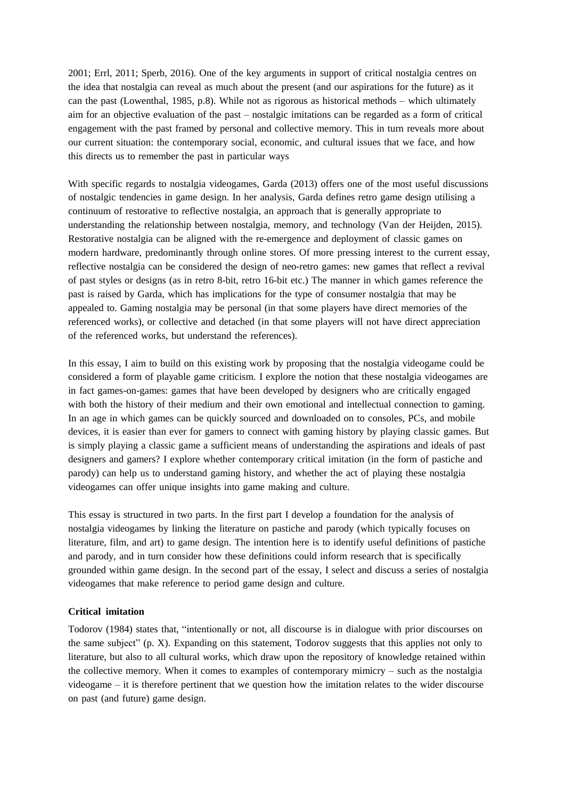2001; Errl, 2011; Sperb, 2016). One of the key arguments in support of critical nostalgia centres on the idea that nostalgia can reveal as much about the present (and our aspirations for the future) as it can the past (Lowenthal, 1985, p.8). While not as rigorous as historical methods – which ultimately aim for an objective evaluation of the past – nostalgic imitations can be regarded as a form of critical engagement with the past framed by personal and collective memory. This in turn reveals more about our current situation: the contemporary social, economic, and cultural issues that we face, and how this directs us to remember the past in particular ways

With specific regards to nostalgia videogames, Garda (2013) offers one of the most useful discussions of nostalgic tendencies in game design. In her analysis, Garda defines retro game design utilising a continuum of restorative to reflective nostalgia, an approach that is generally appropriate to understanding the relationship between nostalgia, memory, and technology (Van der Heijden, 2015). Restorative nostalgia can be aligned with the re-emergence and deployment of classic games on modern hardware, predominantly through online stores. Of more pressing interest to the current essay, reflective nostalgia can be considered the design of neo-retro games: new games that reflect a revival of past styles or designs (as in retro 8-bit, retro 16-bit etc.) The manner in which games reference the past is raised by Garda, which has implications for the type of consumer nostalgia that may be appealed to. Gaming nostalgia may be personal (in that some players have direct memories of the referenced works), or collective and detached (in that some players will not have direct appreciation of the referenced works, but understand the references).

In this essay, I aim to build on this existing work by proposing that the nostalgia videogame could be considered a form of playable game criticism. I explore the notion that these nostalgia videogames are in fact games-on-games: games that have been developed by designers who are critically engaged with both the history of their medium and their own emotional and intellectual connection to gaming. In an age in which games can be quickly sourced and downloaded on to consoles, PCs, and mobile devices, it is easier than ever for gamers to connect with gaming history by playing classic games. But is simply playing a classic game a sufficient means of understanding the aspirations and ideals of past designers and gamers? I explore whether contemporary critical imitation (in the form of pastiche and parody) can help us to understand gaming history, and whether the act of playing these nostalgia videogames can offer unique insights into game making and culture.

This essay is structured in two parts. In the first part I develop a foundation for the analysis of nostalgia videogames by linking the literature on pastiche and parody (which typically focuses on literature, film, and art) to game design. The intention here is to identify useful definitions of pastiche and parody, and in turn consider how these definitions could inform research that is specifically grounded within game design. In the second part of the essay, I select and discuss a series of nostalgia videogames that make reference to period game design and culture.

### **Critical imitation**

Todorov (1984) states that, "intentionally or not, all discourse is in dialogue with prior discourses on the same subject" (p. X). Expanding on this statement, Todorov suggests that this applies not only to literature, but also to all cultural works, which draw upon the repository of knowledge retained within the collective memory. When it comes to examples of contemporary mimicry – such as the nostalgia videogame – it is therefore pertinent that we question how the imitation relates to the wider discourse on past (and future) game design.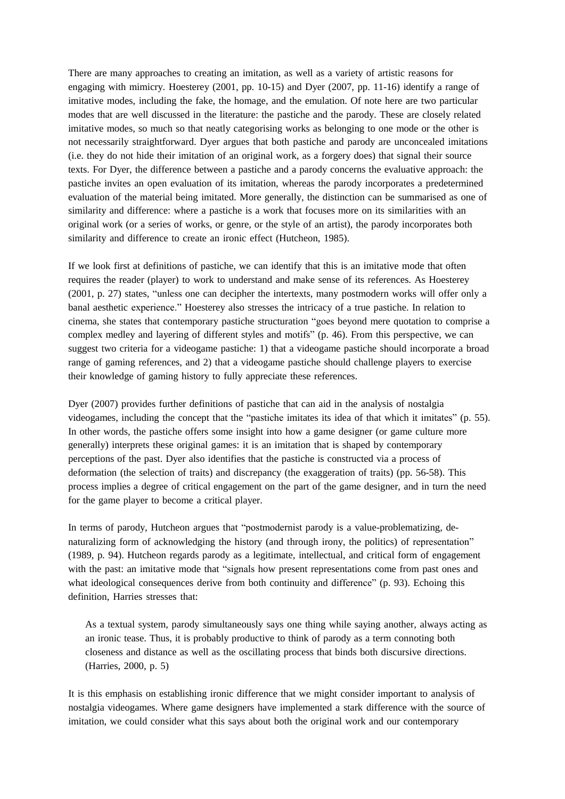There are many approaches to creating an imitation, as well as a variety of artistic reasons for engaging with mimicry. Hoesterey (2001, pp. 10-15) and Dyer (2007, pp. 11-16) identify a range of imitative modes, including the fake, the homage, and the emulation. Of note here are two particular modes that are well discussed in the literature: the pastiche and the parody. These are closely related imitative modes, so much so that neatly categorising works as belonging to one mode or the other is not necessarily straightforward. Dyer argues that both pastiche and parody are unconcealed imitations (i.e. they do not hide their imitation of an original work, as a forgery does) that signal their source texts. For Dyer, the difference between a pastiche and a parody concerns the evaluative approach: the pastiche invites an open evaluation of its imitation, whereas the parody incorporates a predetermined evaluation of the material being imitated. More generally, the distinction can be summarised as one of similarity and difference: where a pastiche is a work that focuses more on its similarities with an original work (or a series of works, or genre, or the style of an artist), the parody incorporates both similarity and difference to create an ironic effect (Hutcheon, 1985).

If we look first at definitions of pastiche, we can identify that this is an imitative mode that often requires the reader (player) to work to understand and make sense of its references. As Hoesterey (2001, p. 27) states, "unless one can decipher the intertexts, many postmodern works will offer only a banal aesthetic experience." Hoesterey also stresses the intricacy of a true pastiche. In relation to cinema, she states that contemporary pastiche structuration "goes beyond mere quotation to comprise a complex medley and layering of different styles and motifs" (p. 46). From this perspective, we can suggest two criteria for a videogame pastiche: 1) that a videogame pastiche should incorporate a broad range of gaming references, and 2) that a videogame pastiche should challenge players to exercise their knowledge of gaming history to fully appreciate these references.

Dyer (2007) provides further definitions of pastiche that can aid in the analysis of nostalgia videogames, including the concept that the "pastiche imitates its idea of that which it imitates" (p. 55). In other words, the pastiche offers some insight into how a game designer (or game culture more generally) interprets these original games: it is an imitation that is shaped by contemporary perceptions of the past. Dyer also identifies that the pastiche is constructed via a process of deformation (the selection of traits) and discrepancy (the exaggeration of traits) (pp. 56-58). This process implies a degree of critical engagement on the part of the game designer, and in turn the need for the game player to become a critical player.

In terms of parody, Hutcheon argues that "postmodernist parody is a value-problematizing, denaturalizing form of acknowledging the history (and through irony, the politics) of representation" (1989, p. 94). Hutcheon regards parody as a legitimate, intellectual, and critical form of engagement with the past: an imitative mode that "signals how present representations come from past ones and what ideological consequences derive from both continuity and difference" (p. 93). Echoing this definition, Harries stresses that:

As a textual system, parody simultaneously says one thing while saying another, always acting as an ironic tease. Thus, it is probably productive to think of parody as a term connoting both closeness and distance as well as the oscillating process that binds both discursive directions. (Harries, 2000, p. 5)

It is this emphasis on establishing ironic difference that we might consider important to analysis of nostalgia videogames. Where game designers have implemented a stark difference with the source of imitation, we could consider what this says about both the original work and our contemporary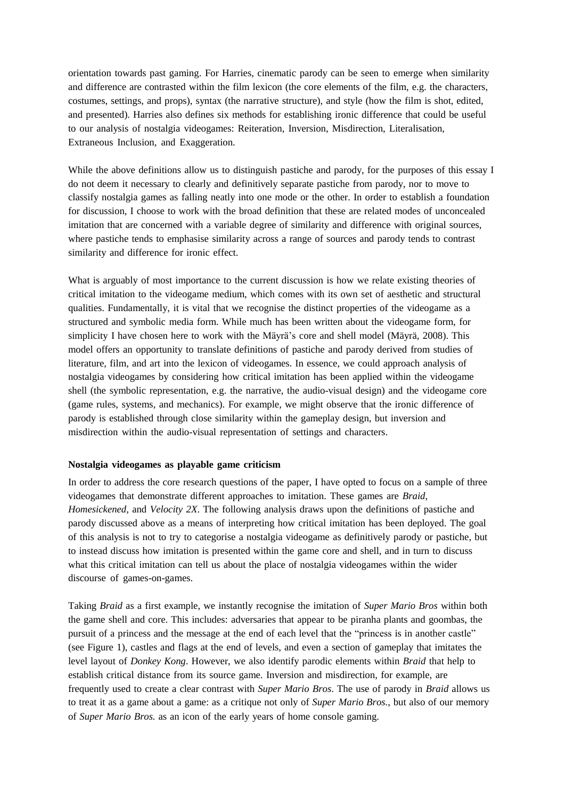orientation towards past gaming. For Harries, cinematic parody can be seen to emerge when similarity and difference are contrasted within the film lexicon (the core elements of the film, e.g. the characters, costumes, settings, and props), syntax (the narrative structure), and style (how the film is shot, edited, and presented). Harries also defines six methods for establishing ironic difference that could be useful to our analysis of nostalgia videogames: Reiteration, Inversion, Misdirection, Literalisation, Extraneous Inclusion, and Exaggeration.

While the above definitions allow us to distinguish pastiche and parody, for the purposes of this essay I do not deem it necessary to clearly and definitively separate pastiche from parody, nor to move to classify nostalgia games as falling neatly into one mode or the other. In order to establish a foundation for discussion, I choose to work with the broad definition that these are related modes of unconcealed imitation that are concerned with a variable degree of similarity and difference with original sources, where pastiche tends to emphasise similarity across a range of sources and parody tends to contrast similarity and difference for ironic effect.

What is arguably of most importance to the current discussion is how we relate existing theories of critical imitation to the videogame medium, which comes with its own set of aesthetic and structural qualities. Fundamentally, it is vital that we recognise the distinct properties of the videogame as a structured and symbolic media form. While much has been written about the videogame form, for simplicity I have chosen here to work with the Mäyrä's core and shell model (Mäyrä, 2008). This model offers an opportunity to translate definitions of pastiche and parody derived from studies of literature, film, and art into the lexicon of videogames. In essence, we could approach analysis of nostalgia videogames by considering how critical imitation has been applied within the videogame shell (the symbolic representation, e.g. the narrative, the audio-visual design) and the videogame core (game rules, systems, and mechanics). For example, we might observe that the ironic difference of parody is established through close similarity within the gameplay design, but inversion and misdirection within the audio-visual representation of settings and characters.

#### **Nostalgia videogames as playable game criticism**

In order to address the core research questions of the paper, I have opted to focus on a sample of three videogames that demonstrate different approaches to imitation. These games are *Braid*, *Homesickened,* and *Velocity 2X*. The following analysis draws upon the definitions of pastiche and parody discussed above as a means of interpreting how critical imitation has been deployed. The goal of this analysis is not to try to categorise a nostalgia videogame as definitively parody or pastiche, but to instead discuss how imitation is presented within the game core and shell, and in turn to discuss what this critical imitation can tell us about the place of nostalgia videogames within the wider discourse of games-on-games.

Taking *Braid* as a first example, we instantly recognise the imitation of *Super Mario Bros* within both the game shell and core. This includes: adversaries that appear to be piranha plants and goombas, the pursuit of a princess and the message at the end of each level that the "princess is in another castle" (see Figure 1), castles and flags at the end of levels, and even a section of gameplay that imitates the level layout of *Donkey Kong*. However, we also identify parodic elements within *Braid* that help to establish critical distance from its source game. Inversion and misdirection, for example, are frequently used to create a clear contrast with *Super Mario Bros*. The use of parody in *Braid* allows us to treat it as a game about a game: as a critique not only of *Super Mario Bros.*, but also of our memory of *Super Mario Bros.* as an icon of the early years of home console gaming.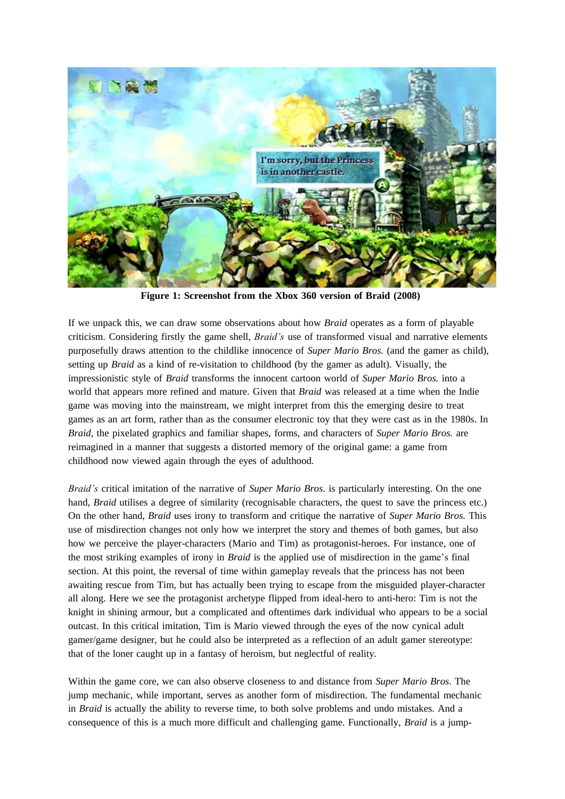

**Figure 1: Screenshot from the Xbox 360 version of Braid (2008)**

If we unpack this, we can draw some observations about how *Braid* operates as a form of playable criticism. Considering firstly the game shell, *Braid's* use of transformed visual and narrative elements purposefully draws attention to the childlike innocence of *Super Mario Bros.* (and the gamer as child), setting up *Braid* as a kind of re-visitation to childhood (by the gamer as adult). Visually, the impressionistic style of *Braid* transforms the innocent cartoon world of *Super Mario Bros.* into a world that appears more refined and mature. Given that *Braid* was released at a time when the Indie game was moving into the mainstream, we might interpret from this the emerging desire to treat games as an art form, rather than as the consumer electronic toy that they were cast as in the 1980s. In *Braid*, the pixelated graphics and familiar shapes, forms, and characters of *Super Mario Bros.* are reimagined in a manner that suggests a distorted memory of the original game: a game from childhood now viewed again through the eyes of adulthood.

*Braid's* critical imitation of the narrative of *Super Mario Bros.* is particularly interesting. On the one hand, *Braid* utilises a degree of similarity (recognisable characters, the quest to save the princess etc.) On the other hand, *Braid* uses irony to transform and critique the narrative of *Super Mario Bros.* This use of misdirection changes not only how we interpret the story and themes of both games, but also how we perceive the player-characters (Mario and Tim) as protagonist-heroes. For instance, one of the most striking examples of irony in *Braid* is the applied use of misdirection in the game's final section. At this point, the reversal of time within gameplay reveals that the princess has not been awaiting rescue from Tim, but has actually been trying to escape from the misguided player-character all along. Here we see the protagonist archetype flipped from ideal-hero to anti-hero: Tim is not the knight in shining armour, but a complicated and oftentimes dark individual who appears to be a social outcast. In this critical imitation, Tim is Mario viewed through the eyes of the now cynical adult gamer/game designer, but he could also be interpreted as a reflection of an adult gamer stereotype: that of the loner caught up in a fantasy of heroism, but neglectful of reality.

Within the game core, we can also observe closeness to and distance from *Super Mario Bros*. The jump mechanic, while important, serves as another form of misdirection. The fundamental mechanic in *Braid* is actually the ability to reverse time, to both solve problems and undo mistakes. And a consequence of this is a much more difficult and challenging game. Functionally, *Braid* is a jump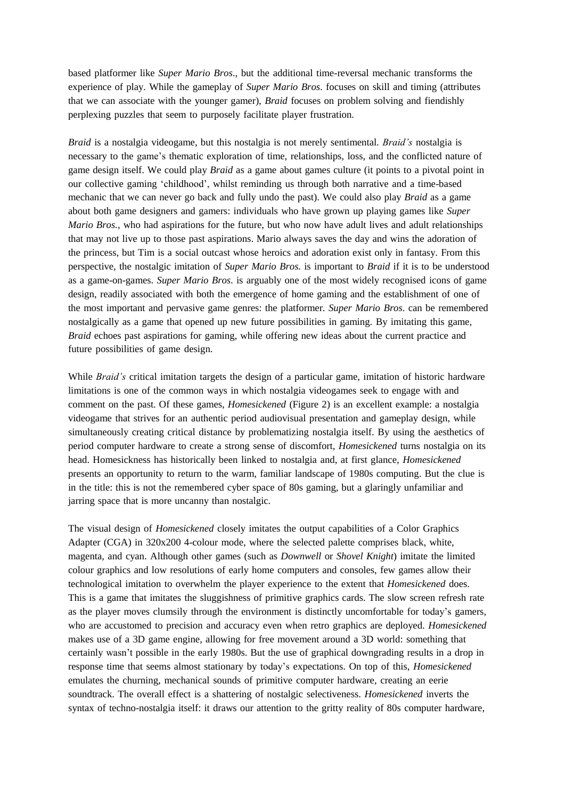based platformer like *Super Mario Bros*., but the additional time-reversal mechanic transforms the experience of play. While the gameplay of *Super Mario Bros*. focuses on skill and timing (attributes that we can associate with the younger gamer), *Braid* focuses on problem solving and fiendishly perplexing puzzles that seem to purposely facilitate player frustration.

*Braid* is a nostalgia videogame, but this nostalgia is not merely sentimental. *Braid's* nostalgia is necessary to the game's thematic exploration of time, relationships, loss, and the conflicted nature of game design itself. We could play *Braid* as a game about games culture (it points to a pivotal point in our collective gaming 'childhood', whilst reminding us through both narrative and a time-based mechanic that we can never go back and fully undo the past). We could also play *Braid* as a game about both game designers and gamers: individuals who have grown up playing games like *Super Mario Bros.*, who had aspirations for the future, but who now have adult lives and adult relationships that may not live up to those past aspirations. Mario always saves the day and wins the adoration of the princess, but Tim is a social outcast whose heroics and adoration exist only in fantasy. From this perspective, the nostalgic imitation of *Super Mario Bros.* is important to *Braid* if it is to be understood as a game-on-games. *Super Mario Bros*. is arguably one of the most widely recognised icons of game design, readily associated with both the emergence of home gaming and the establishment of one of the most important and pervasive game genres: the platformer. *Super Mario Bros*. can be remembered nostalgically as a game that opened up new future possibilities in gaming. By imitating this game, *Braid* echoes past aspirations for gaming, while offering new ideas about the current practice and future possibilities of game design.

While *Braid's* critical imitation targets the design of a particular game, imitation of historic hardware limitations is one of the common ways in which nostalgia videogames seek to engage with and comment on the past. Of these games, *Homesickened* (Figure 2) is an excellent example: a nostalgia videogame that strives for an authentic period audiovisual presentation and gameplay design, while simultaneously creating critical distance by problematizing nostalgia itself. By using the aesthetics of period computer hardware to create a strong sense of discomfort, *Homesickened* turns nostalgia on its head. Homesickness has historically been linked to nostalgia and, at first glance, *Homesickened* presents an opportunity to return to the warm, familiar landscape of 1980s computing. But the clue is in the title: this is not the remembered cyber space of 80s gaming, but a glaringly unfamiliar and jarring space that is more uncanny than nostalgic.

The visual design of *Homesickened* closely imitates the output capabilities of a Color Graphics Adapter (CGA) in 320x200 4-colour mode, where the selected palette comprises black, white, magenta, and cyan. Although other games (such as *Downwell* or *Shovel Knight*) imitate the limited colour graphics and low resolutions of early home computers and consoles, few games allow their technological imitation to overwhelm the player experience to the extent that *Homesickened* does. This is a game that imitates the sluggishness of primitive graphics cards. The slow screen refresh rate as the player moves clumsily through the environment is distinctly uncomfortable for today's gamers, who are accustomed to precision and accuracy even when retro graphics are deployed. *Homesickened* makes use of a 3D game engine, allowing for free movement around a 3D world: something that certainly wasn't possible in the early 1980s. But the use of graphical downgrading results in a drop in response time that seems almost stationary by today's expectations. On top of this, *Homesickened* emulates the churning, mechanical sounds of primitive computer hardware, creating an eerie soundtrack. The overall effect is a shattering of nostalgic selectiveness. *Homesickened* inverts the syntax of techno-nostalgia itself: it draws our attention to the gritty reality of 80s computer hardware,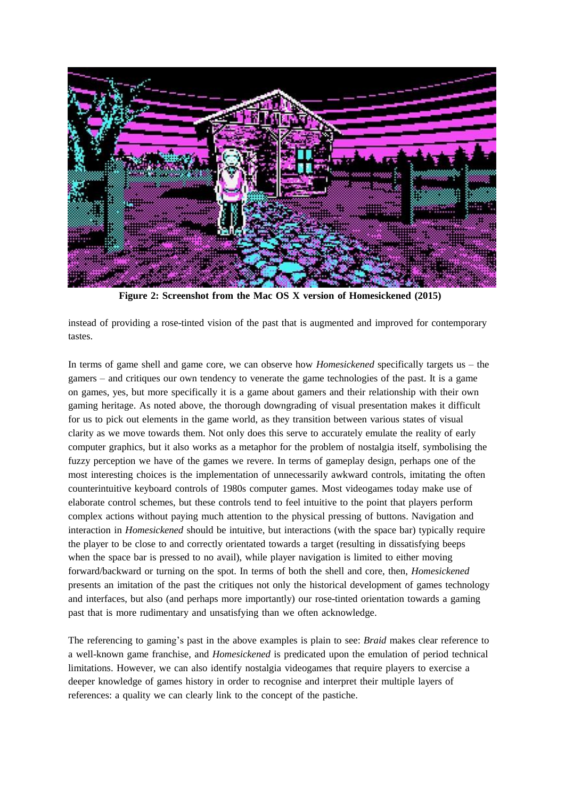

**Figure 2: Screenshot from the Mac OS X version of Homesickened (2015)**

instead of providing a rose-tinted vision of the past that is augmented and improved for contemporary tastes.

In terms of game shell and game core, we can observe how *Homesickened* specifically targets us – the gamers – and critiques our own tendency to venerate the game technologies of the past. It is a game on games, yes, but more specifically it is a game about gamers and their relationship with their own gaming heritage. As noted above, the thorough downgrading of visual presentation makes it difficult for us to pick out elements in the game world, as they transition between various states of visual clarity as we move towards them. Not only does this serve to accurately emulate the reality of early computer graphics, but it also works as a metaphor for the problem of nostalgia itself, symbolising the fuzzy perception we have of the games we revere. In terms of gameplay design, perhaps one of the most interesting choices is the implementation of unnecessarily awkward controls, imitating the often counterintuitive keyboard controls of 1980s computer games. Most videogames today make use of elaborate control schemes, but these controls tend to feel intuitive to the point that players perform complex actions without paying much attention to the physical pressing of buttons. Navigation and interaction in *Homesickened* should be intuitive, but interactions (with the space bar) typically require the player to be close to and correctly orientated towards a target (resulting in dissatisfying beeps when the space bar is pressed to no avail), while player navigation is limited to either moving forward/backward or turning on the spot. In terms of both the shell and core, then, *Homesickened* presents an imitation of the past the critiques not only the historical development of games technology and interfaces, but also (and perhaps more importantly) our rose-tinted orientation towards a gaming past that is more rudimentary and unsatisfying than we often acknowledge.

The referencing to gaming's past in the above examples is plain to see: *Braid* makes clear reference to a well-known game franchise, and *Homesickened* is predicated upon the emulation of period technical limitations. However, we can also identify nostalgia videogames that require players to exercise a deeper knowledge of games history in order to recognise and interpret their multiple layers of references: a quality we can clearly link to the concept of the pastiche.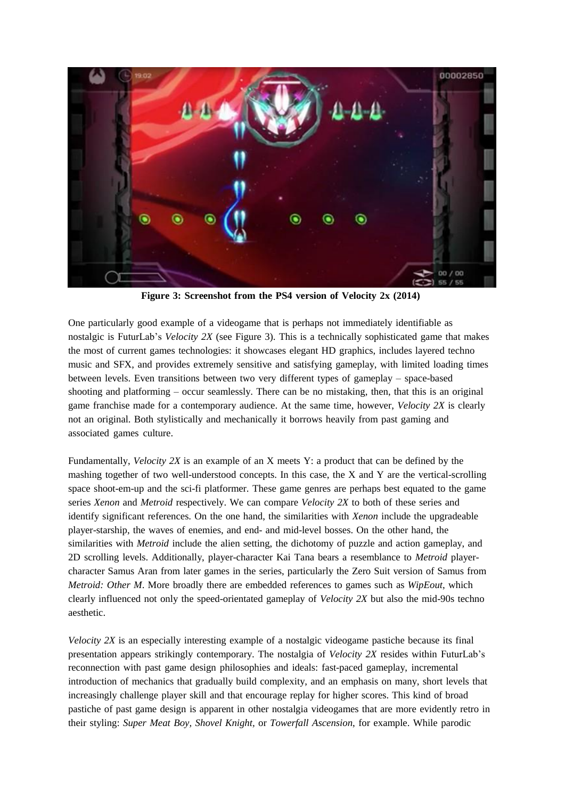

**Figure 3: Screenshot from the PS4 version of Velocity 2x (2014)**

One particularly good example of a videogame that is perhaps not immediately identifiable as nostalgic is FuturLab's *Velocity 2X* (see Figure 3). This is a technically sophisticated game that makes the most of current games technologies: it showcases elegant HD graphics, includes layered techno music and SFX, and provides extremely sensitive and satisfying gameplay, with limited loading times between levels. Even transitions between two very different types of gameplay – space-based shooting and platforming – occur seamlessly. There can be no mistaking, then, that this is an original game franchise made for a contemporary audience. At the same time, however, *Velocity 2X* is clearly not an original. Both stylistically and mechanically it borrows heavily from past gaming and associated games culture.

Fundamentally, *Velocity 2X* is an example of an X meets Y: a product that can be defined by the mashing together of two well-understood concepts. In this case, the X and Y are the vertical-scrolling space shoot-em-up and the sci-fi platformer. These game genres are perhaps best equated to the game series *Xenon* and *Metroid* respectively. We can compare *Velocity 2X* to both of these series and identify significant references. On the one hand, the similarities with *Xenon* include the upgradeable player-starship, the waves of enemies, and end- and mid-level bosses. On the other hand, the similarities with *Metroid* include the alien setting, the dichotomy of puzzle and action gameplay, and 2D scrolling levels. Additionally, player-character Kai Tana bears a resemblance to *Metroid* playercharacter Samus Aran from later games in the series, particularly the Zero Suit version of Samus from *Metroid: Other M*. More broadly there are embedded references to games such as *WipEout*, which clearly influenced not only the speed-orientated gameplay of *Velocity 2X* but also the mid-90s techno aesthetic.

*Velocity 2X* is an especially interesting example of a nostalgic videogame pastiche because its final presentation appears strikingly contemporary. The nostalgia of *Velocity 2X* resides within FuturLab's reconnection with past game design philosophies and ideals: fast-paced gameplay, incremental introduction of mechanics that gradually build complexity, and an emphasis on many, short levels that increasingly challenge player skill and that encourage replay for higher scores. This kind of broad pastiche of past game design is apparent in other nostalgia videogames that are more evidently retro in their styling: *Super Meat Boy, Shovel Knight,* or *Towerfall Ascension*, for example. While parodic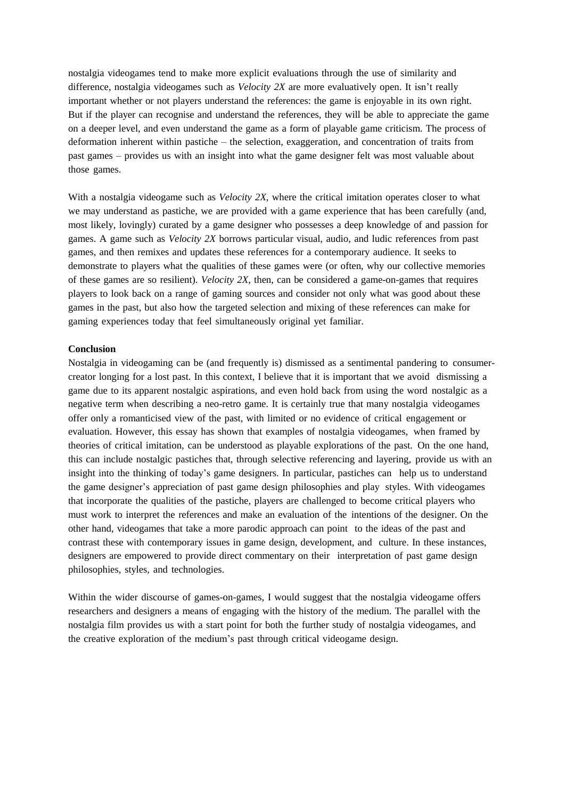nostalgia videogames tend to make more explicit evaluations through the use of similarity and difference, nostalgia videogames such as *Velocity 2X* are more evaluatively open. It isn't really important whether or not players understand the references: the game is enjoyable in its own right. But if the player can recognise and understand the references, they will be able to appreciate the game on a deeper level, and even understand the game as a form of playable game criticism. The process of deformation inherent within pastiche – the selection, exaggeration, and concentration of traits from past games – provides us with an insight into what the game designer felt was most valuable about those games.

With a nostalgia videogame such as *Velocity 2X*, where the critical imitation operates closer to what we may understand as pastiche, we are provided with a game experience that has been carefully (and, most likely, lovingly) curated by a game designer who possesses a deep knowledge of and passion for games. A game such as *Velocity 2X* borrows particular visual, audio, and ludic references from past games, and then remixes and updates these references for a contemporary audience. It seeks to demonstrate to players what the qualities of these games were (or often, why our collective memories of these games are so resilient). *Velocity 2X*, then, can be considered a game-on-games that requires players to look back on a range of gaming sources and consider not only what was good about these games in the past, but also how the targeted selection and mixing of these references can make for gaming experiences today that feel simultaneously original yet familiar.

#### **Conclusion**

Nostalgia in videogaming can be (and frequently is) dismissed as a sentimental pandering to consumercreator longing for a lost past. In this context, I believe that it is important that we avoid dismissing a game due to its apparent nostalgic aspirations, and even hold back from using the word nostalgic as a negative term when describing a neo-retro game. It is certainly true that many nostalgia videogames offer only a romanticised view of the past, with limited or no evidence of critical engagement or evaluation. However, this essay has shown that examples of nostalgia videogames, when framed by theories of critical imitation, can be understood as playable explorations of the past. On the one hand, this can include nostalgic pastiches that, through selective referencing and layering, provide us with an insight into the thinking of today's game designers. In particular, pastiches can help us to understand the game designer's appreciation of past game design philosophies and play styles. With videogames that incorporate the qualities of the pastiche, players are challenged to become critical players who must work to interpret the references and make an evaluation of the intentions of the designer. On the other hand, videogames that take a more parodic approach can point to the ideas of the past and contrast these with contemporary issues in game design, development, and culture. In these instances, designers are empowered to provide direct commentary on their interpretation of past game design philosophies, styles, and technologies.

Within the wider discourse of games-on-games, I would suggest that the nostalgia videogame offers researchers and designers a means of engaging with the history of the medium. The parallel with the nostalgia film provides us with a start point for both the further study of nostalgia videogames, and the creative exploration of the medium's past through critical videogame design.